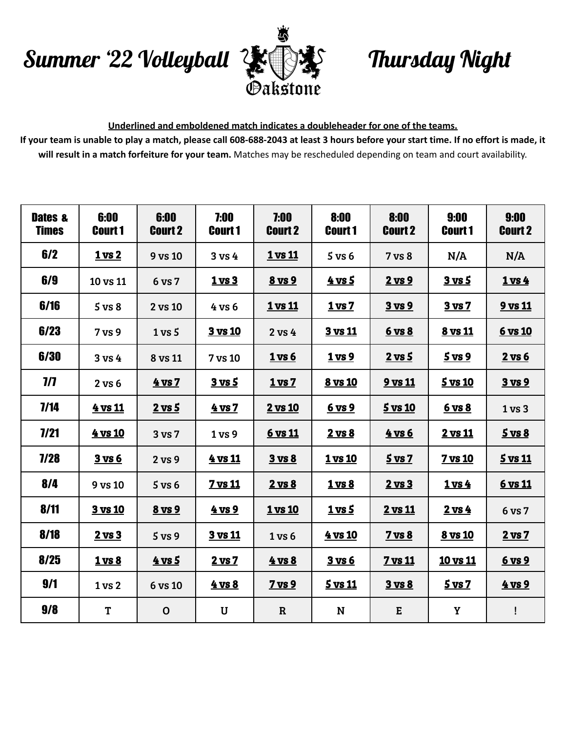## Summer '22 Volleyball Thursday Night



## **Underlined and emboldened match indicates a doubleheader for one of the teams.**

If your team is unable to play a match, please call 608-688-2043 at least 3 hours before your start time. If no effort is made, it **will result in a match forfeiture for your team.** Matches may be rescheduled depending on team and court availability.

| Dates &<br><b>Times</b> | 6:00<br><b>Court 1</b> | 6:00<br><b>Court 2</b> | 7:00<br><b>Court 1</b> | 7:00<br><b>Court 2</b> | 8:00<br><b>Court 1</b> | 8:00<br><b>Court 2</b> | 9:00<br><b>Court 1</b> | 9:00<br><b>Court 2</b> |
|-------------------------|------------------------|------------------------|------------------------|------------------------|------------------------|------------------------|------------------------|------------------------|
| 6/2                     | <b>1 vs 2</b>          | 9 vs 10                | 3 <sub>vs</sub> 4      | <b>1 vs 11</b>         | $5$ vs $6$             | 7 vs 8                 | N/A                    | N/A                    |
| 6/9                     | 10 vs 11               | 6 vs 7                 | 1 <sub>vs</sub> 3      | 8 vs 9                 | <u>4 vs 5</u>          | 2 vs 9                 | <u>3 vs 5</u>          | $1$ vs $4$             |
| 6/16                    | 5 <sub>vs</sub> 8      | 2 vs 10                | 4 vs 6                 | <b>1 vs 11</b>         | 1 <sub>vs</sub> 7      | 3 vs 9                 | 3 vs 7                 | 9 vs 11                |
| 6/23                    | 7 vs 9                 | 1 <sub>vs</sub> 5      | 3 vs 10                | 2 vs 4                 | 3 vs 11                | 6 vs 8                 | 8 vs 11                | 6 vs 10                |
| 6/30                    | 3 vs 4                 | 8 vs 11                | 7 vs 10                | 1 vs 6                 | <u>1 vs 9</u>          | $2$ vs $5$             | $5$ vs $9$             | $2$ vs $6$             |
| $\eta$                  | 2 vs 6                 | $4$ vs $7$             | $3$ vs $5$             | 1 <sub>vs</sub> 7      | <b>8 vs 10</b>         | 9 vs 11                | 5 vs 10                | 3 vs 9                 |
| 7/14                    | 4 vs 11                | $2$ vs $5$             | 4 vs 7                 | 2 vs 10                | 6 vs 9                 | 5 vs 10                | 6 vs 8                 | 1 <sub>vs</sub> 3      |
| 7/21                    | 4 vs 10                | 3 vs 7                 | 1 vs 9                 | 6 vs 11                | $2$ vs $8$             | <u>4 vs 6</u>          | 2 vs 11                | $5$ vs $8$             |
| 7/28                    | $3$ vs $6$             | 2 vs 9                 | 4 vs 11                | 3 vs 8                 | <b>1 vs 10</b>         | 5 <sub>vs</sub>        | <b>7 vs 10</b>         | 5 vs 11                |
| 8/4                     | 9 vs 10                | $5$ vs $6$             | 7 vs 11                | $2 \text{ vs } 8$      | 1 <sub>vs</sub> 8      | $2$ vs $3$             | $1$ vs $4$             | <u>6 vs 11</u>         |
| 8/11                    | 3 vs 10                | 8 vs 9                 | <u>4 vs 9</u>          | <b>1 vs 10</b>         | $1 \text{ vs } 5$      | 2 vs 11                | $2$ vs $4$             | 6 vs 7                 |
| 8/18                    | $2$ vs $3$             | 5 <sub>vs</sub> 9      | 3 vs 11                | 1 <sub>vs</sub> 6      | <u>4 vs 10</u>         | 7 vs 8                 | 8 vs 10                | 2 vs 7                 |
| 8/25                    | 1 <sub>vs</sub> 8      | $4$ vs 5               | 2 vs 7                 | 4 vs 8                 | 3 <sub>vs</sub> 6      | <b>7 vs 11</b>         | 10 vs 11               | 6 vs 9                 |
| 9/1                     | 1 vs 2                 | 6 vs 10                | 4 vs 8                 | $7$ vs $9$             | $5$ vs 11              | 3 vs 8                 | 5 <sub>vs</sub>        | 4 vs 9                 |
| 9/8                     | T                      | $\mathbf 0$            | U                      | $\mathbf R$            | $\mathbf N$            | ${\bf E}$              | Y                      | Ţ                      |